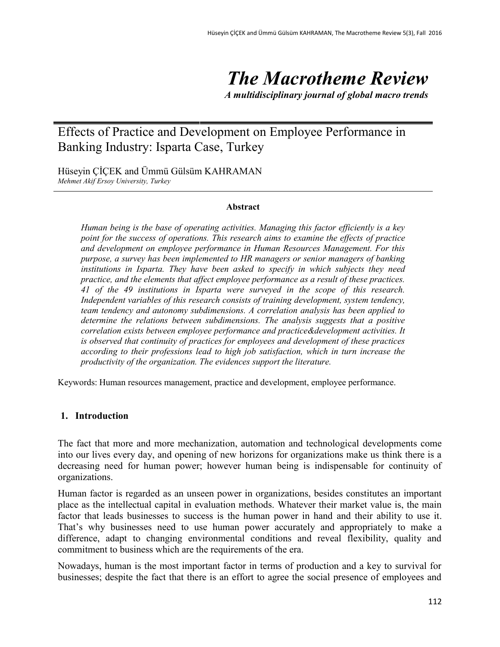# *The Macrotheme Review*

*A multidisciplinary journal of global macro trends*

## Effects of Practice and Development on Employee Performance in Banking Industry: Isparta Case, Turkey

Hüseyin ÇİÇEK and Ümmü Gülsüm KAHRAMAN *Mehmet Akif Ersoy University, Turkey*

#### **Abstract**

*Human being is the base of operating activities. Managing this factor efficiently is a key point for the success of operations. This research aims to examine the effects of practice and development on employee performance in Human Resources Management. For this purpose, a survey has been implemented to HR managers or senior managers of banking institutions in Isparta. They have been asked to specify in which subjects they need practice, and the elements that affect employee performance as a result of these practices. 41 of the 49 institutions in Isparta were surveyed in the scope of this research. Independent variables of this research consists of training development, system tendency, team tendency and autonomy subdimensions. A correlation analysis has been applied to determine the relations between subdimensions. The analysis suggests that a positive correlation exists between employee performance and practice&development activities. It is observed that continuity of practices for employees and development of these practices according to their professions lead to high job satisfaction, which in turn increase the productivity of the organization. The evidences support the literature.*

Keywords: Human resources management, practice and development, employee performance.

### **1. Introduction**

The fact that more and more mechanization, automation and technological developments come into our lives every day, and opening of new horizons for organizations make us think there is a decreasing need for human power; however human being is indispensable for continuity of organizations.

Human factor is regarded as an unseen power in organizations, besides constitutes an important place as the intellectual capital in evaluation methods. Whatever their market value is, the main factor that leads businesses to success is the human power in hand and their ability to use it. That's why businesses need to use human power accurately and appropriately to make a difference, adapt to changing environmental conditions and reveal flexibility, quality and commitment to business which are the requirements of the era.

Nowadays, human is the most important factor in terms of production and a key to survival for businesses; despite the fact that there is an effort to agree the social presence of employees and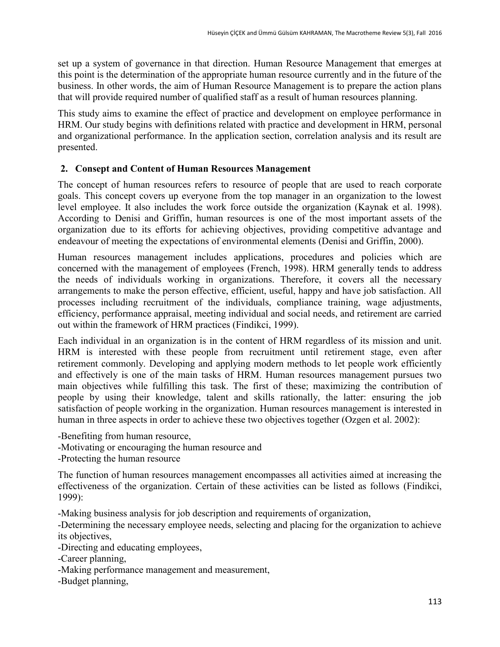set up a system of governance in that direction. Human Resource Management that emerges at this point is the determination of the appropriate human resource currently and in the future of the business. In other words, the aim of Human Resource Management is to prepare the action plans that will provide required number of qualified staff as a result of human resources planning.

This study aims to examine the effect of practice and development on employee performance in HRM. Our study begins with definitions related with practice and development in HRM, personal and organizational performance. In the application section, correlation analysis and its result are presented.

## **2. Consept and Content of Human Resources Management**

The concept of human resources refers to resource of people that are used to reach corporate goals. This concept covers up everyone from the top manager in an organization to the lowest level employee. It also includes the work force outside the organization (Kaynak et al. 1998). According to Denisi and Griffin, human resources is one of the most important assets of the organization due to its efforts for achieving objectives, providing competitive advantage and endeavour of meeting the expectations of environmental elements (Denisi and Griffin, 2000).

Human resources management includes applications, procedures and policies which are concerned with the management of employees (French, 1998). HRM generally tends to address the needs of individuals working in organizations. Therefore, it covers all the necessary arrangements to make the person effective, efficient, useful, happy and have job satisfaction. All processes including recruitment of the individuals, compliance training, wage adjustments, efficiency, performance appraisal, meeting individual and social needs, and retirement are carried out within the framework of HRM practices (Findikci, 1999).

Each individual in an organization is in the content of HRM regardless of its mission and unit. HRM is interested with these people from recruitment until retirement stage, even after retirement commonly. Developing and applying modern methods to let people work efficiently and effectively is one of the main tasks of HRM. Human resources management pursues two main objectives while fulfilling this task. The first of these; maximizing the contribution of people by using their knowledge, talent and skills rationally, the latter: ensuring the job satisfaction of people working in the organization. Human resources management is interested in human in three aspects in order to achieve these two objectives together (Ozgen et al. 2002):

-Benefiting from human resource,

-Motivating or encouraging the human resource and

-Protecting the human resource

The function of human resources management encompasses all activities aimed at increasing the effectiveness of the organization. Certain of these activities can be listed as follows (Findikci, 1999):

-Making business analysis for job description and requirements of organization,

-Determining the necessary employee needs, selecting and placing for the organization to achieve its objectives,

-Directing and educating employees,

-Career planning,

-Making performance management and measurement,

-Budget planning,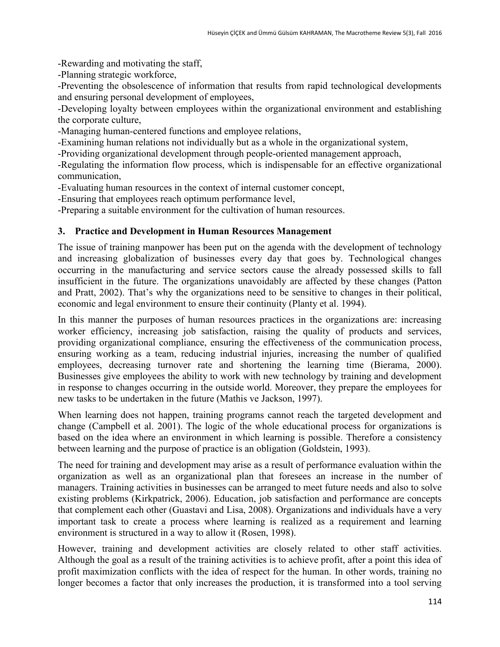-Rewarding and motivating the staff,

-Planning strategic workforce,

-Preventing the obsolescence of information that results from rapid technological developments and ensuring personal development of employees,

-Developing loyalty between employees within the organizational environment and establishing the corporate culture,

-Managing human-centered functions and employee relations,

-Examining human relations not individually but as a whole in the organizational system,

-Providing organizational development through people-oriented management approach,

-Regulating the information flow process, which is indispensable for an effective organizational communication,

-Evaluating human resources in the context of internal customer concept,

-Ensuring that employees reach optimum performance level,

-Preparing a suitable environment for the cultivation of human resources.

## **3. Practice and Development in Human Resources Management**

The issue of training manpower has been put on the agenda with the development of technology and increasing globalization of businesses every day that goes by. Technological changes occurring in the manufacturing and service sectors cause the already possessed skills to fall insufficient in the future. The organizations unavoidably are affected by these changes (Patton and Pratt, 2002). That's why the organizations need to be sensitive to changes in their political, economic and legal environment to ensure their continuity (Planty et al. 1994).

In this manner the purposes of human resources practices in the organizations are: increasing worker efficiency, increasing job satisfaction, raising the quality of products and services, providing organizational compliance, ensuring the effectiveness of the communication process, ensuring working as a team, reducing industrial injuries, increasing the number of qualified employees, decreasing turnover rate and shortening the learning time (Bierama, 2000). Businesses give employees the ability to work with new technology by training and development in response to changes occurring in the outside world. Moreover, they prepare the employees for new tasks to be undertaken in the future (Mathis ve Jackson, 1997).

When learning does not happen, training programs cannot reach the targeted development and change (Campbell et al. 2001). The logic of the whole educational process for organizations is based on the idea where an environment in which learning is possible. Therefore a consistency between learning and the purpose of practice is an obligation (Goldstein, 1993).

The need for training and development may arise as a result of performance evaluation within the organization as well as an organizational plan that foresees an increase in the number of managers. Training activities in businesses can be arranged to meet future needs and also to solve existing problems (Kirkpatrick, 2006). Education, job satisfaction and performance are concepts that complement each other (Guastavi and Lisa, 2008). Organizations and individuals have a very important task to create a process where learning is realized as a requirement and learning environment is structured in a way to allow it (Rosen, 1998).

However, training and development activities are closely related to other staff activities. Although the goal as a result of the training activities is to achieve profit, after a point this idea of profit maximization conflicts with the idea of respect for the human. In other words, training no longer becomes a factor that only increases the production, it is transformed into a tool serving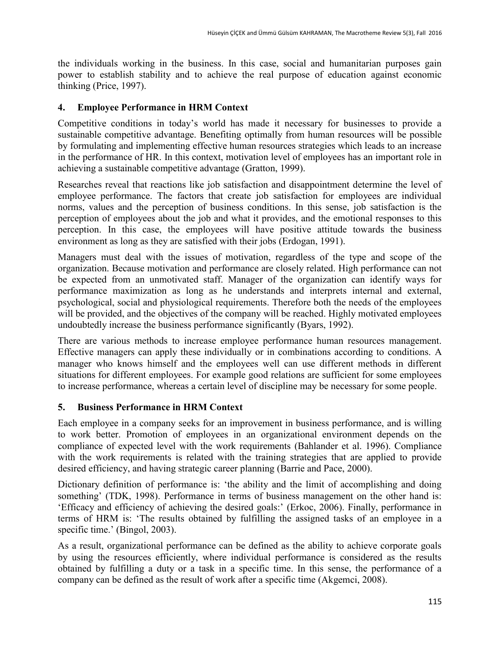the individuals working in the business. In this case, social and humanitarian purposes gain power to establish stability and to achieve the real purpose of education against economic thinking (Price, 1997).

## **4. Employee Performance in HRM Context**

Competitive conditions in today's world has made it necessary for businesses to provide a sustainable competitive advantage. Benefiting optimally from human resources will be possible by formulating and implementing effective human resources strategies which leads to an increase in the performance of HR. In this context, motivation level of employees has an important role in achieving a sustainable competitive advantage (Gratton, 1999).

Researches reveal that reactions like job satisfaction and disappointment determine the level of employee performance. The factors that create job satisfaction for employees are individual norms, values and the perception of business conditions. In this sense, job satisfaction is the perception of employees about the job and what it provides, and the emotional responses to this perception. In this case, the employees will have positive attitude towards the business environment as long as they are satisfied with their jobs (Erdogan, 1991).

Managers must deal with the issues of motivation, regardless of the type and scope of the organization. Because motivation and performance are closely related. High performance can not be expected from an unmotivated staff. Manager of the organization can identify ways for performance maximization as long as he understands and interprets internal and external, psychological, social and physiological requirements. Therefore both the needs of the employees will be provided, and the objectives of the company will be reached. Highly motivated employees undoubtedly increase the business performance significantly (Byars, 1992).

There are various methods to increase employee performance human resources management. Effective managers can apply these individually or in combinations according to conditions. A manager who knows himself and the employees well can use different methods in different situations for different employees. For example good relations are sufficient for some employees to increase performance, whereas a certain level of discipline may be necessary for some people.

## **5. Business Performance in HRM Context**

Each employee in a company seeks for an improvement in business performance, and is willing to work better. Promotion of employees in an organizational environment depends on the compliance of expected level with the work requirements (Bahlander et al. 1996). Compliance with the work requirements is related with the training strategies that are applied to provide desired efficiency, and having strategic career planning (Barrie and Pace, 2000).

Dictionary definition of performance is: 'the ability and the limit of accomplishing and doing something' (TDK, 1998). Performance in terms of business management on the other hand is: 'Efficacy and efficiency of achieving the desired goals:' (Erkoc, 2006). Finally, performance in terms of HRM is: 'The results obtained by fulfilling the assigned tasks of an employee in a specific time.' (Bingol, 2003).

As a result, organizational performance can be defined as the ability to achieve corporate goals by using the resources efficiently, where individual performance is considered as the results obtained by fulfilling a duty or a task in a specific time. In this sense, the performance of a company can be defined as the result of work after a specific time (Akgemci, 2008).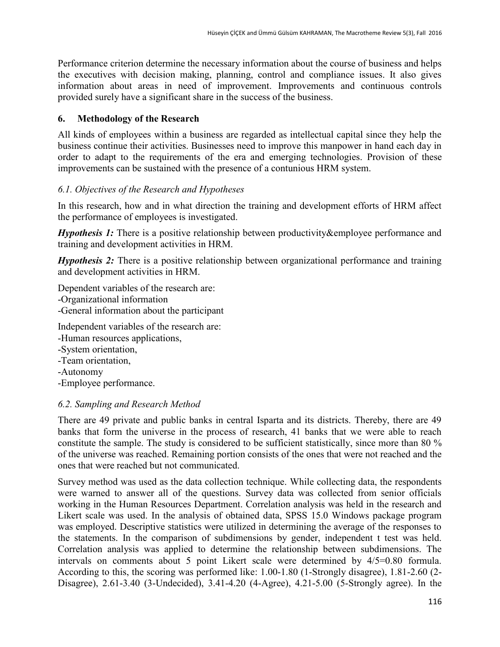Performance criterion determine the necessary information about the course of business and helps the executives with decision making, planning, control and compliance issues. It also gives information about areas in need of improvement. Improvements and continuous controls provided surely have a significant share in the success of the business.

## **6. Methodology of the Research**

All kinds of employees within a business are regarded as intellectual capital since they help the business continue their activities. Businesses need to improve this manpower in hand each day in order to adapt to the requirements of the era and emerging technologies. Provision of these improvements can be sustained with the presence of a contunious HRM system.

## *6.1. Objectives of the Research and Hypotheses*

In this research, how and in what direction the training and development efforts of HRM affect the performance of employees is investigated.

*Hypothesis 1:* There is a positive relationship between productivity&employee performance and training and development activities in HRM.

*Hypothesis* 2: There is a positive relationship between organizational performance and training and development activities in HRM.

Dependent variables of the research are: -Organizational information -General information about the participant

Independent variables of the research are:

- -Human resources applications,
- -System orientation,
- -Team orientation,
- -Autonomy
- -Employee performance.

## *6.2. Sampling and Research Method*

There are 49 private and public banks in central Isparta and its districts. Thereby, there are 49 banks that form the universe in the process of research, 41 banks that we were able to reach constitute the sample. The study is considered to be sufficient statistically, since more than 80 % of the universe was reached. Remaining portion consists of the ones that were not reached and the ones that were reached but not communicated.

Survey method was used as the data collection technique. While collecting data, the respondents were warned to answer all of the questions. Survey data was collected from senior officials working in the Human Resources Department. Correlation analysis was held in the research and Likert scale was used. In the analysis of obtained data, SPSS 15.0 Windows package program was employed. Descriptive statistics were utilized in determining the average of the responses to the statements. In the comparison of subdimensions by gender, independent t test was held. Correlation analysis was applied to determine the relationship between subdimensions. The intervals on comments about 5 point Likert scale were determined by 4/5=0.80 formula. According to this, the scoring was performed like: 1.00-1.80 (1-Strongly disagree), 1.81-2.60 (2- Disagree), 2.61-3.40 (3-Undecided), 3.41-4.20 (4-Agree), 4.21-5.00 (5-Strongly agree). In the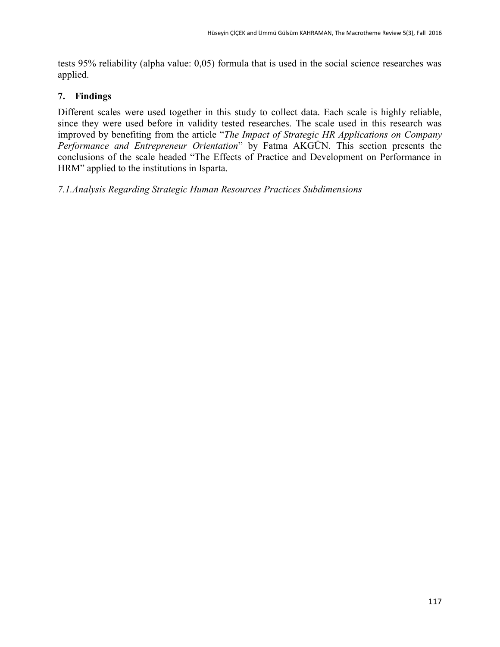tests 95% reliability (alpha value: 0,05) formula that is used in the social science researches was applied.

### **7. Findings**

Different scales were used together in this study to collect data. Each scale is highly reliable, since they were used before in validity tested researches. The scale used in this research was improved by benefiting from the article "*The Impact of Strategic HR Applications on Company Performance and Entrepreneur Orientation*" by Fatma AKGÜN. This section presents the conclusions of the scale headed "The Effects of Practice and Development on Performance in HRM" applied to the institutions in Isparta.

*7.1.Analysis Regarding Strategic Human Resources Practices Subdimensions*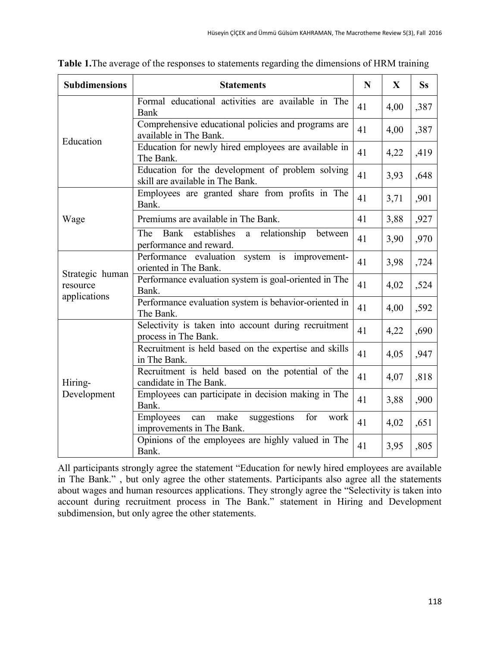| <b>Subdimensions</b>        | <b>Statements</b>                                                                     | N  | $\mathbf{X}$ | <b>Ss</b> |
|-----------------------------|---------------------------------------------------------------------------------------|----|--------------|-----------|
|                             | Formal educational activities are available in The<br>Bank                            | 41 | 4,00         | ,387      |
| Education                   | Comprehensive educational policies and programs are<br>available in The Bank.         | 41 | 4,00         | ,387      |
|                             | Education for newly hired employees are available in<br>The Bank.                     | 41 | 4,22         | ,419      |
|                             | Education for the development of problem solving<br>skill are available in The Bank.  | 41 | 3,93         | ,648      |
|                             | Employees are granted share from profits in The<br>Bank.                              | 41 | 3,71         | ,901      |
| Wage                        | Premiums are available in The Bank.                                                   | 41 | 3,88         | ,927      |
|                             | The<br>establishes<br>relationship<br>Bank<br>between<br>a<br>performance and reward. | 41 | 3,90         | ,970      |
|                             | Performance evaluation system is improvement-<br>oriented in The Bank.                | 41 | 3,98         | ,724      |
| Strategic human<br>resource | Performance evaluation system is goal-oriented in The<br>Bank.                        | 41 | 4,02         | ,524      |
| applications                | Performance evaluation system is behavior-oriented in<br>The Bank.                    | 41 | 4,00         | ,592      |
|                             | Selectivity is taken into account during recruitment<br>process in The Bank.          | 41 | 4,22         | ,690      |
|                             | Recruitment is held based on the expertise and skills<br>in The Bank.                 | 41 | 4,05         | ,947      |
| Hiring-                     | Recruitment is held based on the potential of the<br>candidate in The Bank.           | 41 | 4,07         | ,818      |
| Development                 | Employees can participate in decision making in The<br>Bank.                          | 41 | 3,88         | ,900      |
|                             | suggestions<br>Employees<br>make<br>for<br>can<br>work<br>improvements in The Bank.   | 41 | 4,02         | ,651      |
|                             | Opinions of the employees are highly valued in The<br>Bank.                           | 41 | 3,95         | ,805      |

**Table 1.**The average of the responses to statements regarding the dimensions of HRM training

All participants strongly agree the statement "Education for newly hired employees are available in The Bank." , but only agree the other statements. Participants also agree all the statements about wages and human resources applications. They strongly agree the "Selectivity is taken into account during recruitment process in The Bank." statement in Hiring and Development subdimension, but only agree the other statements.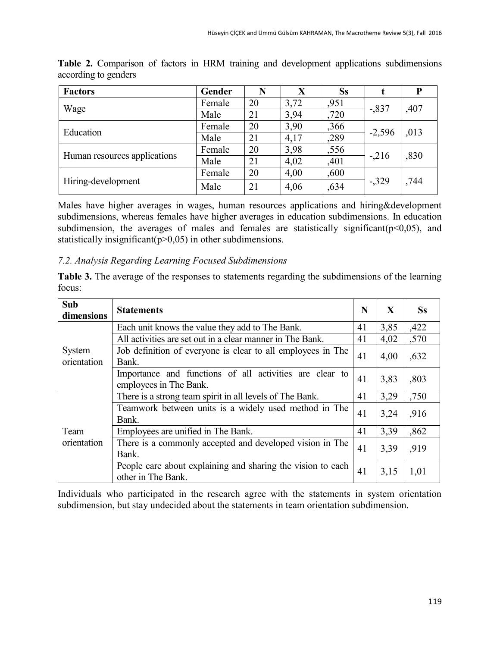| <b>Factors</b>               | Gender | N  | X    | <b>Ss</b> |          | P    |
|------------------------------|--------|----|------|-----------|----------|------|
| Wage                         | Female | 20 | 3,72 | ,951      | $-.837$  | ,407 |
|                              | Male   | 21 | 3,94 | ,720      |          |      |
| Education                    | Female | 20 | 3,90 | ,366      | $-2,596$ | ,013 |
|                              | Male   | 21 | 4,17 | ,289      |          |      |
| Human resources applications | Female | 20 | 3,98 | ,556      | $-.216$  | ,830 |
|                              | Male   | 21 | 4,02 | ,401      |          |      |
|                              | Female | 20 | 4,00 | ,600      |          |      |
| Hiring-development           | Male   | 21 | 4,06 | ,634      | $-329$   | ,744 |

**Table 2.** Comparison of factors in HRM training and development applications subdimensions according to genders

Males have higher averages in wages, human resources applications and hiring&development subdimensions, whereas females have higher averages in education subdimensions. In education subdimension, the averages of males and females are statistically significant( $p<0,05$ ), and statistically insignificant( $p>0,05$ ) in other subdimensions.

### *7.2. Analysis Regarding Learning Focused Subdimensions*

**Table 3.** The average of the responses to statements regarding the subdimensions of the learning focus:

| Sub<br>dimensions     | <b>Statements</b>                                                                 | N  | $\mathbf{X}$ | <b>Ss</b> |
|-----------------------|-----------------------------------------------------------------------------------|----|--------------|-----------|
|                       | Each unit knows the value they add to The Bank.                                   | 41 | 3,85         | ,422      |
|                       | All activities are set out in a clear manner in The Bank.                         | 41 | 4,02         | ,570      |
| System<br>orientation | Job definition of everyone is clear to all employees in The<br>Bank.              | 41 | 4,00         | ,632      |
|                       | Importance and functions of all activities are clear to<br>employees in The Bank. | 41 | 3,83         | ,803      |
|                       | There is a strong team spirit in all levels of The Bank.                          | 41 | 3,29         | ,750      |
|                       | Teamwork between units is a widely used method in The<br>Bank.                    | 41 | 3,24         | ,916      |
| Team                  | Employees are unified in The Bank.                                                | 41 | 3,39         | ,862      |
| orientation           | There is a commonly accepted and developed vision in The<br>Bank.                 | 41 | 3,39         | ,919      |
|                       | People care about explaining and sharing the vision to each<br>other in The Bank. | 41 | 3,15         | 1,01      |

Individuals who participated in the research agree with the statements in system orientation subdimension, but stay undecided about the statements in team orientation subdimension.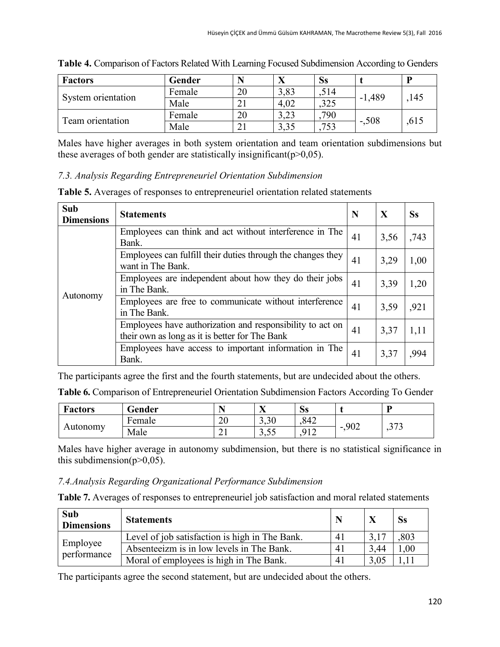| <b>Factors</b>     | Gender |    | ∠∙   | $S_{S}$ |          | D    |
|--------------------|--------|----|------|---------|----------|------|
| System orientation | Female | 20 | 3,83 | ,514    | $-1,489$ | 145  |
|                    | Male   |    | 4,02 | .325    |          |      |
| Team orientation   | Female | 20 | 3,23 | 790     | $-.508$  |      |
|                    | Male   |    | 3,35 | .753    |          | ,615 |

|  |  |  |  |  | Table 4. Comparison of Factors Related With Learning Focused Subdimension According to Genders |  |
|--|--|--|--|--|------------------------------------------------------------------------------------------------|--|
|  |  |  |  |  |                                                                                                |  |

Males have higher averages in both system orientation and team orientation subdimensions but these averages of both gender are statistically insignificant( $p>0,05$ ).

#### *7.3. Analysis Regarding Entrepreneuriel Orientation Subdimension*

**Table 5.** Averages of responses to entrepreneuriel orientation related statements

| Sub<br><b>Dimensions</b> | <b>Statements</b>                                                                                           | N  | X    | <b>Ss</b> |
|--------------------------|-------------------------------------------------------------------------------------------------------------|----|------|-----------|
|                          | Employees can think and act without interference in The<br>Bank.                                            | 41 | 3,56 | ,743      |
|                          | Employees can fulfill their duties through the changes they<br>want in The Bank.                            | 41 | 3,29 | 1,00      |
|                          | Employees are independent about how they do their jobs<br>in The Bank.                                      | 41 | 3,39 | 1,20      |
| Autonomy                 | Employees are free to communicate without interference<br>in The Bank.                                      |    | 3,59 | ,921      |
|                          | Employees have authorization and responsibility to act on<br>their own as long as it is better for The Bank | 41 | 3,37 | 1,11      |
|                          | Employees have access to important information in The<br>Bank.                                              | 41 | 3,37 | ,994      |

The participants agree the first and the fourth statements, but are undecided about the others.

**Table 6.** Comparison of Entrepreneuriel Orientation Subdimension Factors According To Gender

| <b>Factors</b> | Gender | <b>.</b>      | $\mathbf{v}$<br>$\overline{ }$ | $\sim$<br>$\bf SS$ |      | D        |
|----------------|--------|---------------|--------------------------------|--------------------|------|----------|
| Autonomv       | Female | ററ<br>∠∪      | 3,30                           | ,842               | ,902 | 272      |
|                | Male   | $\sim$ 1<br>◢ | $\epsilon$<br>$\sim$<br>ں رہ ر | 912                | -    | ົ<br>ا پ |

Males have higher average in autonomy subdimension, but there is no statistical significance in this subdimension( $p>0,05$ ).

#### *7.4.Analysis Regarding Organizational Performance Subdimension*

**Table 7.** Averages of responses to entrepreneuriel job satisfaction and moral related statements

| Sub<br><b>Dimensions</b> | <b>Statements</b>                              |                |      | Ss       |
|--------------------------|------------------------------------------------|----------------|------|----------|
| Employee<br>performance  | Level of job satisfaction is high in The Bank. | 4 <sub>1</sub> |      | ,803     |
|                          | Absenteeizm is in low levels in The Bank.      | $-41$          | 3.44 | $1.00\,$ |
|                          | Moral of employees is high in The Bank.        | 4 <sup>1</sup> |      |          |

The participants agree the second statement, but are undecided about the others.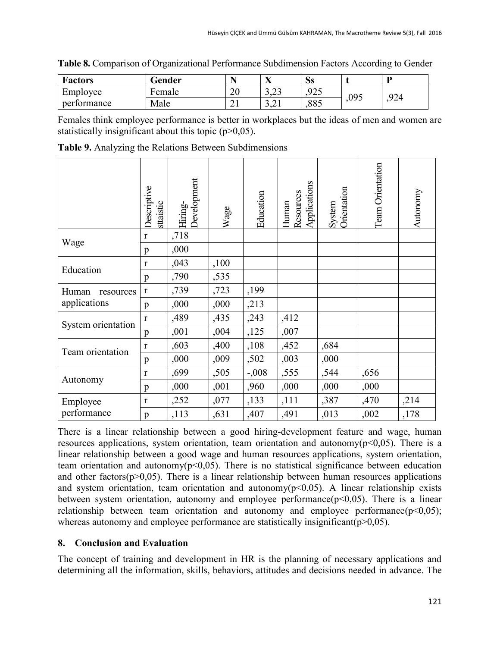| <b>Factors</b> | Gender      |          | w.<br>ZX           | $\bf SS$ |      | D   |
|----------------|-------------|----------|--------------------|----------|------|-----|
| Employee       | ᠇<br>Female | ⌒⌒<br>∠∪ | $\sim$<br>ر _ د ر  | 925      | ,095 | 924 |
| performance    | Male        | ~<br>∠⊥  | $\sim$<br>⊥ ہے • ب | 885      |      |     |

|  |  | Table 8. Comparison of Organizational Performance Subdimension Factors According to Gender |  |  |  |
|--|--|--------------------------------------------------------------------------------------------|--|--|--|
|--|--|--------------------------------------------------------------------------------------------|--|--|--|

Females think employee performance is better in workplaces but the ideas of men and women are statistically insignificant about this topic  $(p>0,05)$ .

|                    | Descriptive<br>sttaistic | Development<br>Hiring- | Wage | Education | Applications<br>Resources<br>Human | Orientation<br>System | Team Orientation | Autonomy |
|--------------------|--------------------------|------------------------|------|-----------|------------------------------------|-----------------------|------------------|----------|
| Wage               | $\mathbf{r}$             | ,718                   |      |           |                                    |                       |                  |          |
|                    | p                        | ,000                   |      |           |                                    |                       |                  |          |
| Education          | r                        | ,043                   | ,100 |           |                                    |                       |                  |          |
|                    | p                        | ,790                   | ,535 |           |                                    |                       |                  |          |
| Human<br>resources | $\mathbf r$              | ,739                   | ,723 | ,199      |                                    |                       |                  |          |
| applications       | p                        | ,000                   | ,000 | ,213      |                                    |                       |                  |          |
| System orientation | r                        | ,489                   | ,435 | ,243      | ,412                               |                       |                  |          |
|                    | p                        | ,001                   | ,004 | ,125      | ,007                               |                       |                  |          |
| Team orientation   | r                        | ,603                   | ,400 | ,108      | ,452                               | ,684                  |                  |          |
|                    | p                        | ,000                   | ,009 | ,502      | ,003                               | ,000                  |                  |          |
| Autonomy           | r                        | ,699                   | ,505 | $-.008$   | ,555                               | ,544                  | ,656             |          |
|                    | p                        | ,000                   | ,001 | ,960      | ,000                               | ,000                  | ,000             |          |
| Employee           | r                        | ,252                   | ,077 | ,133      | ,111                               | ,387                  | ,470             | ,214     |
| performance        | p                        | ,113                   | ,631 | ,407      | ,491                               | ,013                  | ,002             | ,178     |

**Table 9.** Analyzing the Relations Between Subdimensions

There is a linear relationship between a good hiring-development feature and wage, human resources applications, system orientation, team orientation and autonomy( $p<0,05$ ). There is a linear relationship between a good wage and human resources applications, system orientation, team orientation and autonomy( $p<0,05$ ). There is no statistical significance between education and other factors( $p > 0.05$ ). There is a linear relationship between human resources applications and system orientation, team orientation and autonomy( $p<0,05$ ). A linear relationship exists between system orientation, autonomy and employee performance( $p<0,05$ ). There is a linear relationship between team orientation and autonomy and employee performance( $p<0,05$ ); whereas autonomy and employee performance are statistically insignificant( $p>0,05$ ).

#### **8. Conclusion and Evaluation**

The concept of training and development in HR is the planning of necessary applications and determining all the information, skills, behaviors, attitudes and decisions needed in advance. The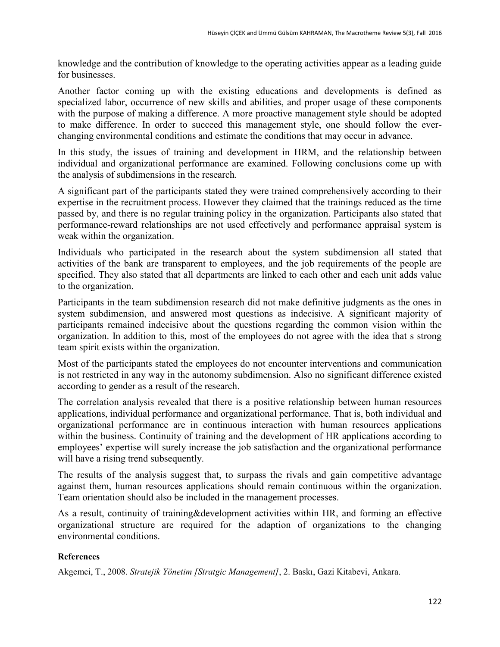knowledge and the contribution of knowledge to the operating activities appear as a leading guide for businesses.

Another factor coming up with the existing educations and developments is defined as specialized labor, occurrence of new skills and abilities, and proper usage of these components with the purpose of making a difference. A more proactive management style should be adopted to make difference. In order to succeed this management style, one should follow the everchanging environmental conditions and estimate the conditions that may occur in advance.

In this study, the issues of training and development in HRM, and the relationship between individual and organizational performance are examined. Following conclusions come up with the analysis of subdimensions in the research.

A significant part of the participants stated they were trained comprehensively according to their expertise in the recruitment process. However they claimed that the trainings reduced as the time passed by, and there is no regular training policy in the organization. Participants also stated that performance-reward relationships are not used effectively and performance appraisal system is weak within the organization.

Individuals who participated in the research about the system subdimension all stated that activities of the bank are transparent to employees, and the job requirements of the people are specified. They also stated that all departments are linked to each other and each unit adds value to the organization.

Participants in the team subdimension research did not make definitive judgments as the ones in system subdimension, and answered most questions as indecisive. A significant majority of participants remained indecisive about the questions regarding the common vision within the organization. In addition to this, most of the employees do not agree with the idea that s strong team spirit exists within the organization.

Most of the participants stated the employees do not encounter interventions and communication is not restricted in any way in the autonomy subdimension. Also no significant difference existed according to gender as a result of the research.

The correlation analysis revealed that there is a positive relationship between human resources applications, individual performance and organizational performance. That is, both individual and organizational performance are in continuous interaction with human resources applications within the business. Continuity of training and the development of HR applications according to employees' expertise will surely increase the job satisfaction and the organizational performance will have a rising trend subsequently.

The results of the analysis suggest that, to surpass the rivals and gain competitive advantage against them, human resources applications should remain continuous within the organization. Team orientation should also be included in the management processes.

As a result, continuity of training&development activities within HR, and forming an effective organizational structure are required for the adaption of organizations to the changing environmental conditions.

### **References**

Akgemci, T., 2008. *Stratejik Yönetim [Stratgic Management]*, 2. Baskı, Gazi Kitabevi, Ankara.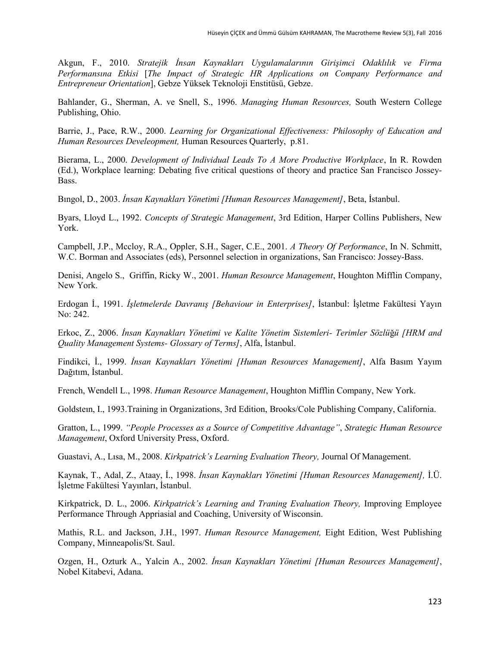Akgun, F., 2010. *Stratejik İnsan Kaynakları Uygulamalarının Girişimci Odaklılık ve Firma Performansına Etkisi* [*The Impact of Strategic HR Applications on Company Performance and Entrepreneur Orientation*], Gebze Yüksek Teknoloji Enstitüsü, Gebze.

Bahlander, G., Sherman, A. ve Snell, S., 1996. *Managing Human Resources,* South Western College Publishing, Ohio.

Barrie, J., Pace, R.W., 2000. *Learning for Organizational Effectiveness: Philosophy of Education and Human Resources Develeopment,* Human Resources Quarterly, p.81.

Bierama, L., 2000. *Development of Individual Leads To A More Productive Workplace*, In R. Rowden (Ed.), Workplace learning: Debating five critical questions of theory and practice San Francisco Jossey-Bass.

Bıngol, D., 2003. *İnsan Kaynakları Yönetimi [Human Resources Management]*, Beta, İstanbul.

Byars, Lloyd L., 1992. *Concepts of Strategic Management*, 3rd Edition, Harper Collins Publishers, New York.

Campbell, J.P., Mccloy, R.A., Oppler, S.H., Sager, C.E., 2001. *A Theory Of Performance*, In N. Schmitt, W.C. Borman and Associates (eds), Personnel selection in organizations, San Francisco: Jossey-Bass.

Denisi, Angelo S., Griffin, Ricky W., 2001. *Human Resource Management*, Houghton Mifflin Company, New York.

Erdogan İ., 1991. *İşletmelerde Davranış [Behaviour in Enterprises]*, İstanbul: İşletme Fakültesi Yayın No: 242.

Erkoc, Z., 2006. *İnsan Kaynakları Yönetimi ve Kalite Yönetim Sistemleri- Terimler Sözlü*ğ*ü [HRM and Quality Management Systems- Glossary of Terms]*, Alfa, İstanbul.

Findikci, İ., 1999. *İnsan Kaynakları Yönetimi [Human Resources Management]*, Alfa Basım Yayım Dağıtım, İstanbul.

French, Wendell L., 1998. *Human Resource Management*, Houghton Mifflin Company, New York.

Goldsteın, I., 1993.Training in Organizations, 3rd Edition, Brooks/Cole Publishing Company, California.

Gratton, L., 1999. *"People Processes as a Source of Competitive Advantage"*, *Strategic Human Resource Management*, Oxford University Press, Oxford.

Guastavi, A., Lısa, M., 2008. *Kirkpatrick's Learning Evaluation Theory,* Journal Of Management.

Kaynak, T., Adal, Z., Ataay, İ., 1998. *İnsan Kaynakları Yönetimi [Human Resources Management],* İ.Ü. İşletme Fakültesi Yayınları, İstanbul.

Kirkpatrick, D. L., 2006. *Kirkpatrick's Learning and Traning Evaluation Theory,* Improving Employee Performance Through Appriasial and Coaching, University of Wisconsin.

Mathis, R.L. and Jackson, J.H., 1997. *Human Resource Management,* Eight Edition, West Publishing Company, Minneapolis/St. Saul.

Ozgen, H., Ozturk A., Yalcin A., 2002. *İnsan Kaynakları Yönetimi [Human Resources Management]*, Nobel Kitabevi, Adana.